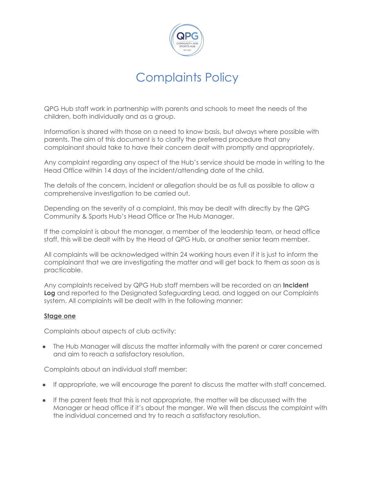

QPG Hub staff work in partnership with parents and schools to meet the needs of the children, both individually and as a group.

Information is shared with those on a need to know basis, but always where possible with parents. The aim of this document is to clarify the preferred procedure that any complainant should take to have their concern dealt with promptly and appropriately.

Any complaint regarding any aspect of the Hub's service should be made in writing to the Head Office within 14 days of the incident/attending date of the child.

The details of the concern, incident or allegation should be as full as possible to allow a comprehensive investigation to be carried out.

Depending on the severity of a complaint, this may be dealt with directly by the QPG Community & Sports Hub's Head Office or The Hub Manager.

If the complaint is about the manager, a member of the leadership team, or head office staff, this will be dealt with by the Head of QPG Hub, or another senior team member.

All complaints will be acknowledged within 24 working hours even if it is just to inform the complainant that we are investigating the matter and will get back to them as soon as is practicable.

Any complaints received by QPG Hub staff members will be recorded on an **Incident Log** and reported to the Designated Safeguarding Lead, and logged on our Complaints system. All complaints will be dealt with in the following manner:

#### **Stage one**

Complaints about aspects of club activity:

• The Hub Manager will discuss the matter informally with the parent or carer concerned and aim to reach a satisfactory resolution.

Complaints about an individual staff member:

- If appropriate, we will encourage the parent to discuss the matter with staff concerned.
- If the parent feels that this is not appropriate, the matter will be discussed with the Manager or head office if it's about the manger. We will then discuss the complaint with the individual concerned and try to reach a satisfactory resolution.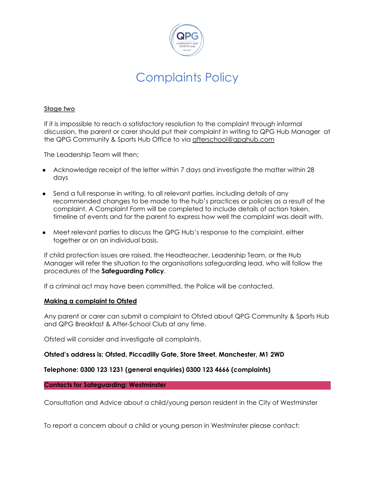

### **Stage two**

If it is impossible to reach a satisfactory resolution to the complaint through informal discussion, the parent or carer should put their complaint in writing to QPG Hub Manager at the QPG Community & Sports Hub Office to via [afterschool@qpghub.com](mailto:afterschool@qpghub.com)

The Leadership Team will then:

- Acknowledge receipt of the letter within 7 days and investigate the matter within 28 days
- Send a full response in writing, to all relevant parties, including details of any recommended changes to be made to the hub's practices or policies as a result of the complaint. A Complaint Form will be completed to include details of action taken, timeline of events and for the parent to express how well the complaint was dealt with.
- Meet relevant parties to discuss the QPG Hub's response to the complaint, either together or on an individual basis.

If child protection issues are raised, the Headteacher, Leadership Team, or the Hub Manager will refer the situation to the organisations safeguarding lead, who will follow the procedures of the **Safeguarding Policy**.

If a criminal act may have been committed, the Police will be contacted.

#### **Making a complaint to Ofsted**

Any parent or carer can submit a complaint to Ofsted about QPG Community & Sports Hub and QPG Breakfast & After-School Club at any time.

Ofsted will consider and investigate all complaints.

#### **Ofsted's address is: Ofsted, Piccadilly Gate, Store Street, Manchester, M1 2WD**

**Telephone: 0300 123 1231 (general enquiries) 0300 123 4666 (complaints)**

**Contacts for Safeguarding: Westminster**

Consultation and Advice about a child/young person resident in the City of Westminster

To report a concern about a child or young person in Westminster please contact: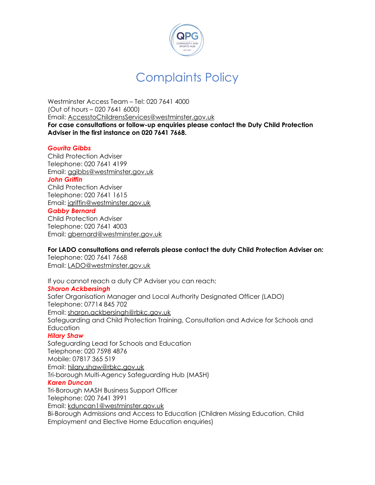

Westminster Access Team – Tel: 020 7641 4000 (Out of hours – 020 7641 6000) Email: [AccesstoChildrensServices@westminster.gov.uk](mailto:AccesstoChildrensServices@westminster.gov.uk) **For case consultations or follow-up enquiries please contact the Duty Child Protection Adviser in the first instance on 020 7641 7668.**

### *Gourita Gibbs*

Child Protection Adviser Telephone: 020 7641 4199 Email: [ggibbs@westminster.gov.uk](mailto:ggibbs@westminster.gov.uk) *John Griffin* Child Protection Adviser Telephone: 020 7641 1615 Email: [jgriffin@westminster.gov.uk](mailto:jgriffin@westminster.gov.uk) *Gabby Bernard* Child Protection Adviser Telephone: 020 7641 4003 Email: [gbernard@westminster.gov.uk](mailto:gbernard@westminster.gov.uk)

### **For LADO consultations and referrals please contact the duty Child Protection Adviser on:**

Telephone: 020 7641 7668 Email: [LADO@westminster.gov.uk](mailto:LADO@westminster.gov.uk)

If you cannot reach a duty CP Adviser you can reach: *Sharon Ackbersingh* Safer Organisation Manager and Local Authority Designated Officer (LADO) Telephone: 07714 845 702 Email: [sharon.ackbersingh@rbkc.gov.uk](mailto:sharon.ackbersingh@rbkc.gov.uk) Safeguarding and Child Protection Training, Consultation and Advice for Schools and **Education** 

#### *Hilary Shaw*

Safeguarding Lead for Schools and Education Telephone: 020 7598 4876 Mobile: 07817 365 519 Email: [hilary.shaw@rbkc.gov.uk](mailto:hilary.shaw@rbkc.gov.uk) Tri-borough Multi-Agency Safeguarding Hub (MASH) *Karen Duncan* Tri-Borough MASH Business Support Officer Telephone: 020 7641 3991 Email: [kduncan1@westminster.gov.uk](mailto:kduncan1@westminster.gov.uk) Bi-Borough Admissions and Access to Education (Children Missing Education, Child Employment and Elective Home Education enquiries)